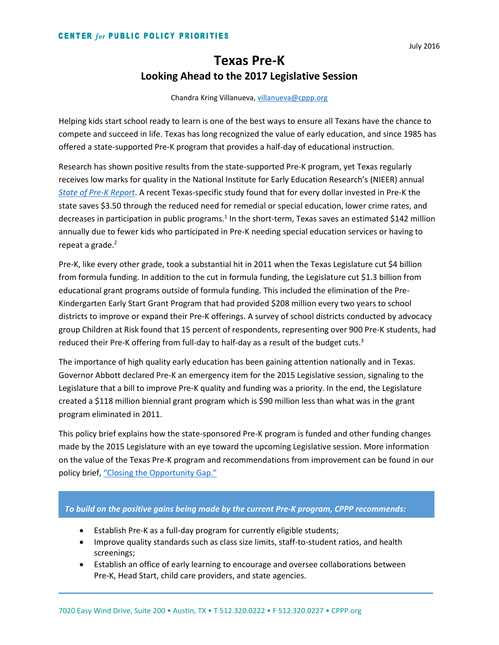# **Texas Pre-K Looking Ahead to the 2017 Legislative Session**

Chandra Kring Villanueva, [villanueva@cppp.org](mailto:villanueva@cppp.org)

Helping kids start school ready to learn is one of the best ways to ensure all Texans have the chance to compete and succeed in life. Texas has long recognized the value of early education, and since 1985 has offered a state-supported Pre-K program that provides a half-day of educational instruction.

Research has shown positive results from the state-supported Pre-K program, yet Texas regularly receives low marks for quality in the National Institute for Early Education Research's (NIEER) annual *[State of Pre-K Report](http://nieer.org/sites/nieer/files/Texas_2015.pdf)*. A recent Texas-specific study found that for every dollar invested in Pre-K the state saves \$3.50 through the reduced need for remedial or special education, lower crime rates, and decreases in participation in public programs.<sup>1</sup> In the short-term, Texas saves an estimated \$142 million annually due to fewer kids who participated in Pre-K needing special education services or having to repeat a grade.<sup>2</sup>

Pre-K, like every other grade, took a substantial hit in 2011 when the Texas Legislature cut \$4 billion from formula funding. In addition to the cut in formula funding, the Legislature cut \$1.3 billion from educational grant programs outside of formula funding. This included the elimination of the Pre-Kindergarten Early Start Grant Program that had provided \$208 million every two years to school districts to improve or expand their Pre-K offerings. A survey of school districts conducted by advocacy group Children at Risk found that 15 percent of respondents, representing over 900 Pre-K students, had reduced their Pre-K offering from full-day to half-day as a result of the budget cuts.<sup>3</sup>

The importance of high quality early education has been gaining attention nationally and in Texas. Governor Abbott declared Pre-K an emergency item for the 2015 Legislative session, signaling to the Legislature that a bill to improve Pre-K quality and funding was a priority. In the end, the Legislature created a \$118 million biennial grant program which is \$90 million less than what was in the grant program eliminated in 2011.

This policy brief explains how the state-sponsored Pre-K program is funded and other funding changes made by the 2015 Legislature with an eye toward the upcoming Legislative session. More information on the value of the Texas Pre-K program and recommendations from improvement can be found in our policy brief, ["Closing the Opportunity Gap."](http://forabettertexas.org/images/CPPP_PreK_policypaper_final.pdf)

#### *To build on the positive gains being made by the current Pre-K program, CPPP recommends:*

- Establish Pre-K as a full-day program for currently eligible students;
- Improve quality standards such as class size limits, staff-to-student ratios, and health screenings;
- Establish an office of early learning to encourage and oversee collaborations between Pre-K, Head Start, child care providers, and state agencies.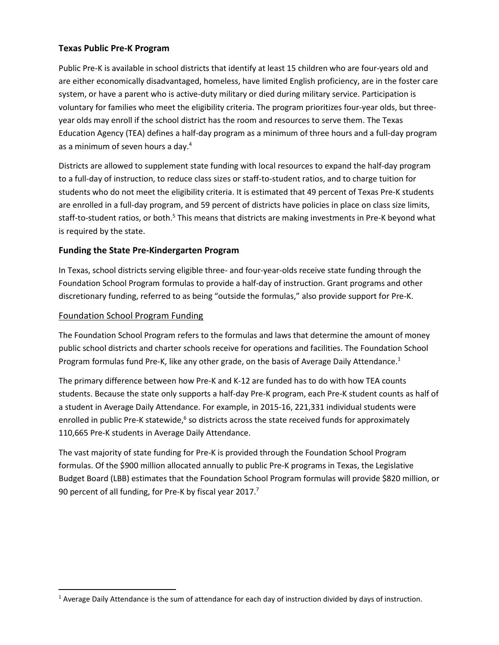## **Texas Public Pre-K Program**

Public Pre-K is available in school districts that identify at least 15 children who are four-years old and are either economically disadvantaged, homeless, have limited English proficiency, are in the foster care system, or have a parent who is active-duty military or died during military service. Participation is voluntary for families who meet the eligibility criteria. The program prioritizes four-year olds, but threeyear olds may enroll if the school district has the room and resources to serve them. The Texas Education Agency (TEA) defines a half-day program as a minimum of three hours and a full-day program as a minimum of seven hours a day.<sup>4</sup>

Districts are allowed to supplement state funding with local resources to expand the half-day program to a full-day of instruction, to reduce class sizes or staff-to-student ratios, and to charge tuition for students who do not meet the eligibility criteria. It is estimated that 49 percent of Texas Pre-K students are enrolled in a full-day program, and 59 percent of districts have policies in place on class size limits, staff-to-student ratios, or both.<sup>5</sup> This means that districts are making investments in Pre-K beyond what is required by the state.

## **Funding the State Pre-Kindergarten Program**

In Texas, school districts serving eligible three- and four-year-olds receive state funding through the Foundation School Program formulas to provide a half-day of instruction. Grant programs and other discretionary funding, referred to as being "outside the formulas," also provide support for Pre-K.

#### Foundation School Program Funding

 $\overline{a}$ 

The Foundation School Program refers to the formulas and laws that determine the amount of money public school districts and charter schools receive for operations and facilities. The Foundation School Program formulas fund Pre-K, like any other grade, on the basis of Average Daily Attendance.<sup>1</sup>

The primary difference between how Pre-K and K-12 are funded has to do with how TEA counts students. Because the state only supports a half-day Pre-K program, each Pre-K student counts as half of a student in Average Daily Attendance. For example, in 2015-16, 221,331 individual students were enrolled in public Pre-K statewide,<sup>6</sup> so districts across the state received funds for approximately 110,665 Pre-K students in Average Daily Attendance.

The vast majority of state funding for Pre-K is provided through the Foundation School Program formulas. Of the \$900 million allocated annually to public Pre-K programs in Texas, the Legislative Budget Board (LBB) estimates that the Foundation School Program formulas will provide \$820 million, or 90 percent of all funding, for Pre-K by fiscal year 2017.<sup>7</sup>

<sup>&</sup>lt;sup>1</sup> Average Daily Attendance is the sum of attendance for each day of instruction divided by days of instruction.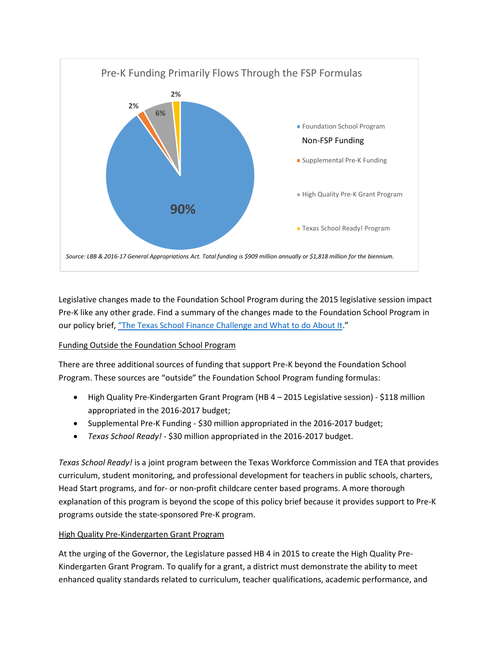

Legislative changes made to the Foundation School Program during the 2015 legislative session impact Pre-K like any other grade. Find a summary of the changes made to the Foundation School Program in our policy brief, ["The Texas School Finance Challenge and What to do About It.](http://forabettertexas.org/images/EO_2016_04_SchoolFinancePolicyPage.docx.pdf)"

## Funding Outside the Foundation School Program

There are three additional sources of funding that support Pre-K beyond the Foundation School Program. These sources are "outside" the Foundation School Program funding formulas:

- High Quality Pre-Kindergarten Grant Program (HB 4 2015 Legislative session) \$118 million appropriated in the 2016-2017 budget;
- Supplemental Pre-K Funding \$30 million appropriated in the 2016-2017 budget;
- *Texas School Ready!* \$30 million appropriated in the 2016-2017 budget.

*Texas School Ready!* is a joint program between the Texas Workforce Commission and TEA that provides curriculum, student monitoring, and professional development for teachers in public schools, charters, Head Start programs, and for- or non-profit childcare center based programs. A more thorough explanation of this program is beyond the scope of this policy brief because it provides support to Pre-K programs outside the state-sponsored Pre-K program.

## High Quality Pre-Kindergarten Grant Program

At the urging of the Governor, the Legislature passed HB 4 in 2015 to create the High Quality Pre-Kindergarten Grant Program. To qualify for a grant, a district must demonstrate the ability to meet enhanced quality standards related to curriculum, teacher qualifications, academic performance, and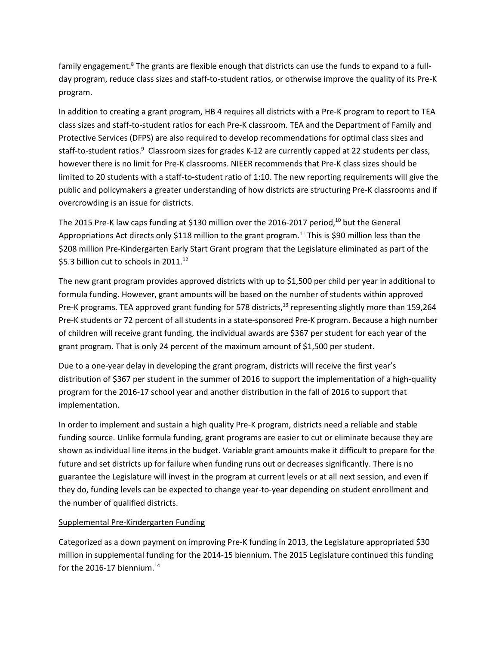family engagement.<sup>8</sup> The grants are flexible enough that districts can use the funds to expand to a fullday program, reduce class sizes and staff-to-student ratios, or otherwise improve the quality of its Pre-K program.

In addition to creating a grant program, HB 4 requires all districts with a Pre-K program to report to TEA class sizes and staff-to-student ratios for each Pre-K classroom. TEA and the Department of Family and Protective Services (DFPS) are also required to develop recommendations for optimal class sizes and staff-to-student ratios.<sup>9</sup> Classroom sizes for grades K-12 are currently capped at 22 students per class, however there is no limit for Pre-K classrooms. NIEER recommends that Pre-K class sizes should be limited to 20 students with a staff-to-student ratio of 1:10. The new reporting requirements will give the public and policymakers a greater understanding of how districts are structuring Pre-K classrooms and if overcrowding is an issue for districts.

The 2015 Pre-K law caps funding at \$130 million over the 2016-2017 period,<sup>10</sup> but the General Appropriations Act directs only \$118 million to the grant program.<sup>11</sup> This is \$90 million less than the \$208 million Pre-Kindergarten Early Start Grant program that the Legislature eliminated as part of the \$5.3 billion cut to schools in 2011.<sup>12</sup>

The new grant program provides approved districts with up to \$1,500 per child per year in additional to formula funding. However, grant amounts will be based on the number of students within approved Pre-K programs. TEA approved grant funding for 578 districts,<sup>13</sup> representing slightly more than 159,264 Pre-K students or 72 percent of all students in a state-sponsored Pre-K program. Because a high number of children will receive grant funding, the individual awards are \$367 per student for each year of the grant program. That is only 24 percent of the maximum amount of \$1,500 per student.

Due to a one-year delay in developing the grant program, districts will receive the first year's distribution of \$367 per student in the summer of 2016 to support the implementation of a high-quality program for the 2016-17 school year and another distribution in the fall of 2016 to support that implementation.

In order to implement and sustain a high quality Pre-K program, districts need a reliable and stable funding source. Unlike formula funding, grant programs are easier to cut or eliminate because they are shown as individual line items in the budget. Variable grant amounts make it difficult to prepare for the future and set districts up for failure when funding runs out or decreases significantly. There is no guarantee the Legislature will invest in the program at current levels or at all next session, and even if they do, funding levels can be expected to change year-to-year depending on student enrollment and the number of qualified districts.

#### Supplemental Pre-Kindergarten Funding

Categorized as a down payment on improving Pre-K funding in 2013, the Legislature appropriated \$30 million in supplemental funding for the 2014-15 biennium. The 2015 Legislature continued this funding for the 2016-17 biennium. $^{14}$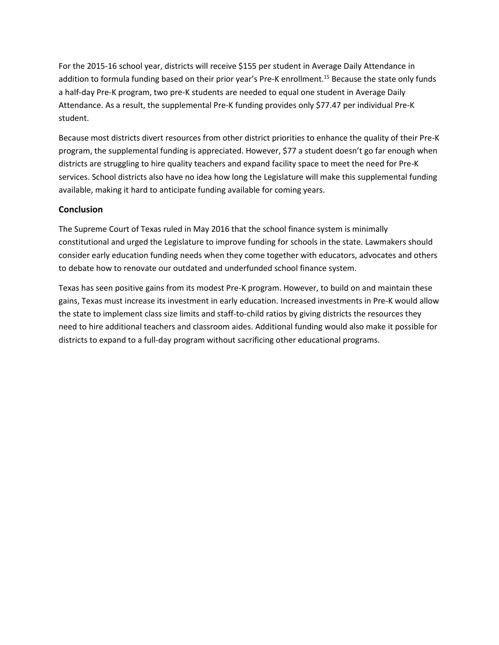For the 2015-16 school year, districts will receive \$155 per student in Average Daily Attendance in addition to formula funding based on their prior year's Pre-K enrollment. <sup>15</sup> Because the state only funds a half-day Pre-K program, two pre-K students are needed to equal one student in Average Daily Attendance. As a result, the supplemental Pre-K funding provides only \$77.47 per individual Pre-K student.

Because most districts divert resources from other district priorities to enhance the quality of their Pre-K program, the supplemental funding is appreciated. However, \$77 a student doesn't go far enough when districts are struggling to hire quality teachers and expand facility space to meet the need for Pre-K services. School districts also have no idea how long the Legislature will make this supplemental funding available, making it hard to anticipate funding available for coming years.

#### **Conclusion**

The Supreme Court of Texas ruled in May 2016 that the school finance system is minimally constitutional and urged the Legislature to improve funding for schools in the state. Lawmakers should consider early education funding needs when they come together with educators, advocates and others to debate how to renovate our outdated and underfunded school finance system.

Texas has seen positive gains from its modest Pre-K program. However, to build on and maintain these gains, Texas must increase its investment in early education. Increased investments in Pre-K would allow the state to implement class size limits and staff-to-child ratios by giving districts the resources they need to hire additional teachers and classroom aides. Additional funding would also make it possible for districts to expand to a full-day program without sacrificing other educational programs.